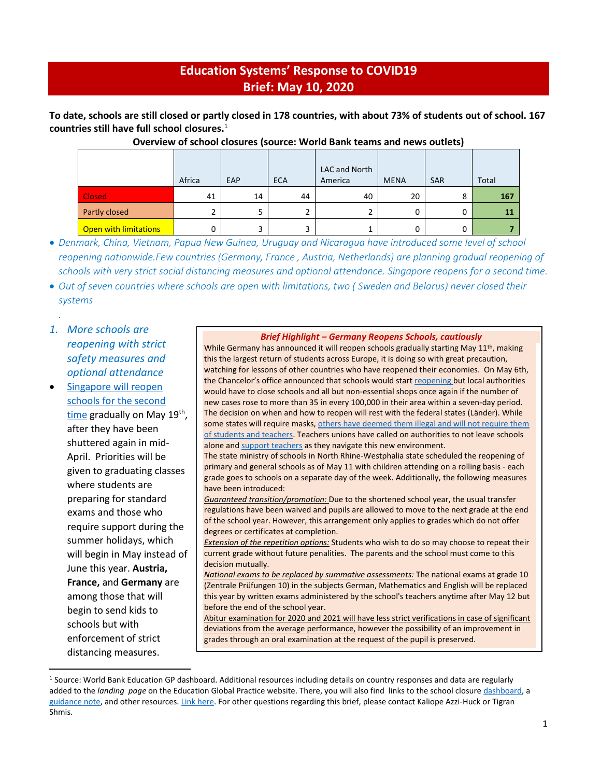## **Education Systems' Response to COVID19 Brief: May 10, 2020**

**To date, schools are still closed or partly closed in 178 countries, with about 73% of students out of school. 167 countries still have full school closures.** 1

|                              | Africa | EAP | <b>ECA</b> | LAC and North<br>America | <b>MENA</b> | <b>SAR</b> | Total |
|------------------------------|--------|-----|------------|--------------------------|-------------|------------|-------|
| <b>Closed</b>                | 41     | 14  | 44         | 40                       | 20          | 8          | 167   |
| Partly closed                |        |     |            |                          | 0           | O          | 11    |
| <b>Open with limitations</b> |        |     |            |                          | 0           | 0          |       |

#### **Overview of school closures (source: World Bank teams and news outlets)**

• *Denmark, China, Vietnam, Papua New Guinea, Uruguay and Nicaragua have introduced some level of school reopening nationwide.Few countries (Germany, France , Austria, Netherlands) are planning gradual reopening of schools with very strict social distancing measures and optional attendance. Singapore reopens for a second time.*

• *Out of seven countries where schools are open with limitations, two ( Sweden and Belarus) never closed their systems*

## *. 1. More schools are reopening with strict*

*safety measures and optional attendance*

[Singapore will](https://www.channelnewsasia.com/news/singapore/covid19-some-students-allowed-back-to-school-circuit-breaker-12696438) reopen [schools for the second](https://www.channelnewsasia.com/news/singapore/covid19-some-students-allowed-back-to-school-circuit-breaker-12696438)  [time](https://www.channelnewsasia.com/news/singapore/covid19-some-students-allowed-back-to-school-circuit-breaker-12696438) gradually on May 19<sup>th</sup>, after they have been shuttered again in mid-April. Priorities will be given to graduating classes where students are preparing for standard exams and those who require support during the summer holidays, which will begin in May instead of June this year. **Austria, France,** and **Germany** are among those that will begin to send kids to schools but with enforcement of strict distancing measures.

#### *Brief Highlight – Germany Reopens Schools, cautiously*

While Germany has announced it will reopen schools gradually starting May 11<sup>th</sup>, making this the largest return of students across Europe, it is doing so with great precaution, watching for lessons of other countries who have reopened their economies. On May 6th, the Chancelor's office announced that schools would star[t reopening](https://www.bundesregierung.de/breg-de/themen/coronavirus/corona-bundeslaender-1745198) but local authorities would have to close schools and all but non-essential shops once again if the number of new cases rose to more than 35 in every 100,000 in their area within a seven-day period. The decision on when and how to reopen will rest with the federal states (Länder). While some states will require masks, others have deemed them illegal and will not require them [of students and teachers.](https://www.merkur.de/politik/corona-schulen-kitas-deutschland-nrw-berlin-oeffnung-bayern-merkel-entscheidung-kinder-rueckkehr-zr-13748796.html) Teachers unions have called on authorities to not leave schools alone an[d support teachers](https://www.tagesschau.de/inland/schulen-coronavirus-101.html) as they navigate this new environment.

The state ministry of schools in North Rhine-Westphalia state scheduled the reopening of primary and general schools as of May 11 with children attending on a rolling basis - each grade goes to schools on a separate day of the week. Additionally, the following measures have been introduced:

*Guaranteed transition/promotion:* Due to the shortened school year, the usual transfer regulations have been waived and pupils are allowed to move to the next grade at the end of the school year. However, this arrangement only applies to grades which do not offer degrees or certificates at completion.

*Extension of the repetition options:* Students who wish to do so may choose to repeat their current grade without future penalities. The parents and the school must come to this decision mutually.

*National exams to be replaced by summative assessments:* The national exams at grade 10 (Zentrale Prüfungen 10) in the subjects German, Mathematics and English will be replaced this year by written exams administered by the school's teachers anytime after May 12 but before the end of the school year.

Abitur examination for 2020 and 2021 will have less strict verifications in case of significant deviations from the average performance, however the possibility of an improvement in grades through an oral examination at the request of the pupil is preserved.

<sup>1</sup> Source: World Bank Education GP dashboard. Additional resources including details on country responses and data are regularly added to the *landing page* on the Education Global Practice website. There, you will also find links to the school closure [dashboard,](https://www.worldbank.org/en/data/interactive/2020/03/24/world-bank-education-and-covid-19) a [guidance note,](http://pubdocs.worldbank.org/en/450881585235950757/COVID19-Education-Sector-Guidance-Note-March26.pdf) and other resources[. Link here.](https://www.worldbank.org/en/data/interactive/2020/03/24/world-bank-education-and-covid-19) For other questions regarding this brief, please contact Kaliope Azzi-Huck or Tigran Shmis.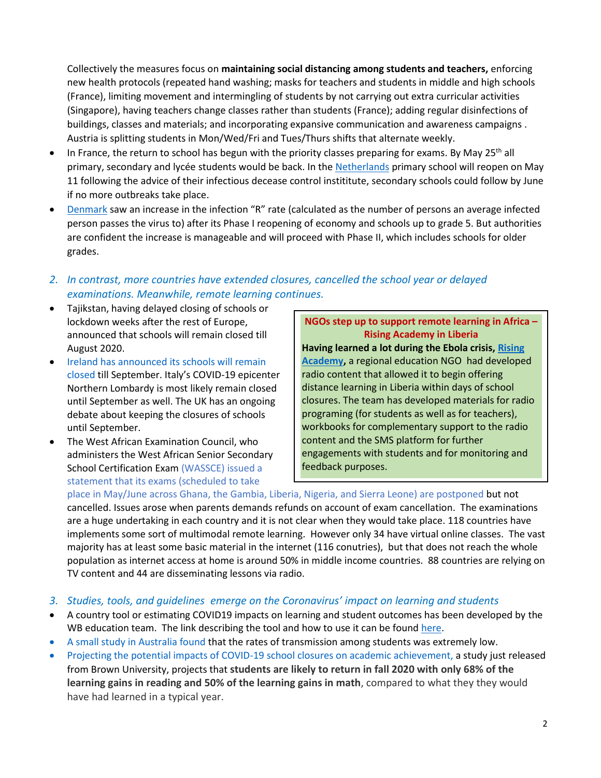Collectively the measures focus on **maintaining social distancing among students and teachers,** enforcing new health protocols (repeated hand washing; masks for teachers and students in middle and high schools (France), limiting movement and intermingling of students by not carrying out extra curricular activities (Singapore), having teachers change classes rather than students (France); adding regular disinfections of buildings, classes and materials; and incorporating expansive communication and awareness campaigns . Austria is splitting students in Mon/Wed/Fri and Tues/Thurs shifts that alternate weekly.

- In France, the return to school has begun with the priority classes preparing for exams. By May 25<sup>th</sup> all primary, secondary and lycée students would be back. In th[e Netherlands](https://www.theguardian.com/world/2020/apr/21/lockdown-eased-netherlands-and-france-plan-to-re-open-primary-schools) primary school will reopen on May 11 following the advice of their infectious decease control instititute, secondary schools could follow by June if no more outbreaks take place.
- [Denmark](http://cphpost.dk/?p=113585) saw an increase in the infection "R" rate (calculated as the number of persons an average infected person passes the virus to) after its Phase I reopening of economy and schools up to grade 5. But authorities are confident the increase is manageable and will proceed with Phase II, which includes schools for older grades.
- *2. In contrast, more countries have extended closures, cancelled the school year or delayed examinations. Meanwhile, remote learning continues.*
- Tajikstan, having delayed closing of schools or lockdown weeks after the rest of Europe, announced that schools will remain closed till August 2020.
- [Ireland has announced](https://www.bbc.com/news/uk-northern-ireland-52539184) its schools will remain [closed](https://www.bbc.com/news/uk-northern-ireland-52539184) till September. Italy's COVID-19 epicenter Northern Lombardy is most likely remain closed until September as well. The UK has an ongoing debate about keeping the closures of schools until September.
- The West African Examination Council, who administers the West African Senior Secondary School Certification Exam (WASSCE) issued a statement that its exams (scheduled to take

# **NGOs step up to support remote learning in Africa – Rising Academy in Liberia**

**Having learned a lot during the Ebola crisis, [Rising](https://www.risingacademies.com/)  [Academy,](https://www.risingacademies.com/)** a regional education NGO had developed radio content that allowed it to begin offering distance learning in Liberia within days of school closures. The team has developed materials for radio programing (for students as well as for teachers), workbooks for complementary support to the radio content and the SMS platform for further engagements with students and for monitoring and feedback purposes.

place in May/June across Ghana, the Gambia, Liberia, Nigeria, and Sierra Leone) are postponed but not cancelled. Issues arose when parents demands refunds on account of exam cancellation. The examinations are a huge undertaking in each country and it is not clear when they would take place. 118 countries have implements some sort of multimodal remote learning. However only 34 have virtual online classes. The vast majority has at least some basic material in the internet (116 conutries), but that does not reach the whole population as internet access at home is around 50% in middle income countries. 88 countries are relying on TV content and 44 are disseminating lessons via radio.

- *3. Studies, tools, and guidelines emerge on the Coronavirus' impact on learning and students*
- A country tool or estimating COVID19 impacts on learning and student outcomes has been developed by the WB education team. The link describing the tool and how to use it can be found [here.](https://worldbankgroup.sharepoint.com/sites/education/SitePages/Detail.aspx/Blogs/mode=view?_Id=25652&SiteURL=/sites/education)
- [A small study in Australia found](https://www.sbs.com.au/news/coronavirus-study-finds-schools-are-safe-for-teachers-and-students) that the rates of transmission among students was extremely low.
- [Projecting the potential impacts of COVID-19 school closures on academic achievement,](https://www.edworkingpapers.com/authors/beth-tarasawa#226) a study just released from Brown University, projects that **students are likely to return in fall 2020 with only 68% of the learning gains in reading and 50% of the learning gains in math**, compared to what they they would have had learned in a typical year.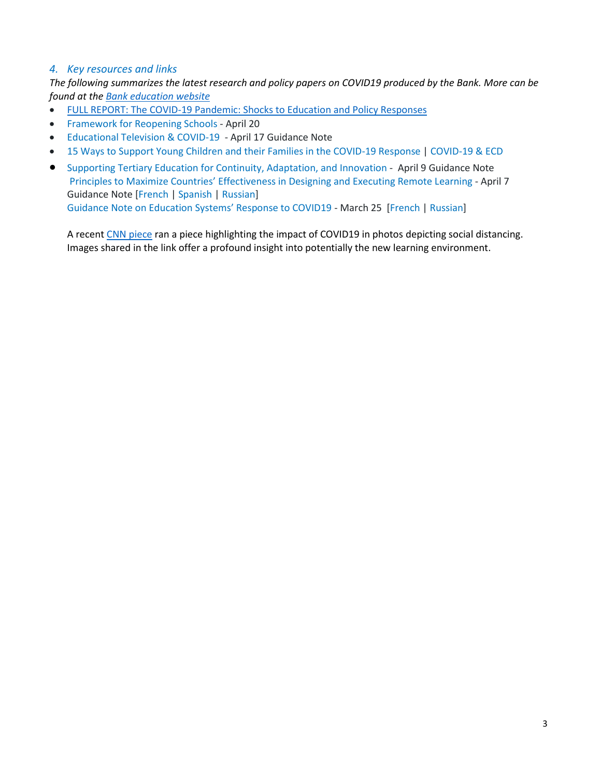### *4. Key resources and links*

*The following summarizes the latest research and policy papers on COVID19 produced by the Bank. More can be found at the [Bank education website](https://worldbankgroup.sharepoint.com/sites/Education/Pages/Education-COVID19.aspx)*

- [FULL REPORT: The COVID-19 Pandemic: Shocks to Education and Policy Responses](https://www.worldbank.org/en/topic/education/publication/the-covid19-pandemic-shocks-to-education-and-policy-responses)
- [Framework for Reopening Schools](http://pubdocs.worldbank.org/en/625501588259700561/Framework-for-Reopening-Schools-APRIL27.pdf) April 20
- [Educational Television & COVID-19](http://documents.worldbank.org/curated/en/659411587145759242/pdf/Rapid-Response-Guidance-Note-Educational-Television-COVID-19.pdf) April 17 Guidance Note
- [15 Ways to Support Young Children and their Families in the COVID-19 Response](http://documents.worldbank.org/curated/en/963051586986115651/pdf/15-Ways-to-Support-Young-Children-and-their-Families-in-the-COVD-19-Response.pdf) | [COVID-19 & ECD](https://worldbankgroup.sharepoint.com/sites/gsg/ECD/Pages/SitePages/COVID19-ECD-03272020-103104.aspx)
- Supporting [Tertiary Education for Continuity, Adaptation, and Innovation](http://pubdocs.worldbank.org/en/621991586463915490/WB-Tertiary-Ed-and-Covid-19-Crisis-for-public-use-April-9.pdf) April 9 Guidance Note [Principles to Maximize Countries' Effectiveness in Designing and Executing Remote L](http://documents.worldbank.org/curated/en/531681585957264427/Guidance-Note-on-Remote-Learning-and-COVID-19)earning - April 7 Guidance Note [\[French](http://documents.worldbank.org/curated/en/938981586550203812/pdf/Guidance-Note-on-Remote-Learning-and-COVID-19.pdf) | [Spanish](http://documents.worldbank.org/curated/en/344621586550566257/pdf/Guidance-Note-on-Remote-Learning-and-COVID-19.pdf) | [Russian\]](http://pubdocs.worldbank.org/en/453101586781336246/Remote-learning-in-response-to-COVID-19-16-March-2020-Russian.pdf) [Guidance Note on Education Systems' Response to COVID19](http://pubdocs.worldbank.org/en/450881585235950757/COVID19-Education-Sector-Guidance-Note-March26.pdf) - March 25 [\[French](http://pubdocs.worldbank.org/en/862901586546293432/COVID19-Education-Sector-Guidance-Note-Version-II-Tracked-Changes-Final-March26-for-WEB-POSTING-French.pdf) | [Russian\]](http://pubdocs.worldbank.org/en/706841586781413687/COVID19-Education-Sector-Guidance-Note-March-17-Russian.pdf)

A recen[t CNN piece](https://edition.cnn.com/2020/05/04/world/gallery/education-coronavirus-wellness/index.html) ran a piece highlighting the impact of COVID19 in photos depicting social distancing. Images shared in the link offer a profound insight into potentially the new learning environment.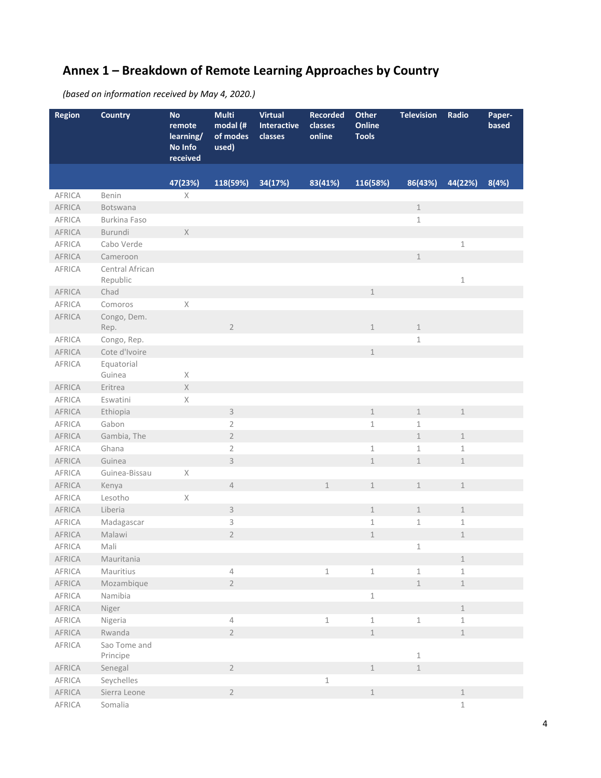# **Annex 1 – Breakdown of Remote Learning Approaches by Country**

*(based on information received by May 4, 2020.)*

| <b>Region</b> | <b>Country</b>              | <b>No</b><br>remote<br>learning/<br>No Info<br>received | <b>Multi</b><br>modal (#<br>of modes<br>used) | <b>Virtual</b><br>Interactive<br>classes | <b>Recorded</b><br>classes<br>online | Other<br><b>Online</b><br><b>Tools</b> | <b>Television</b>          | Radio         | Paper-<br>based |
|---------------|-----------------------------|---------------------------------------------------------|-----------------------------------------------|------------------------------------------|--------------------------------------|----------------------------------------|----------------------------|---------------|-----------------|
|               |                             | 47(23%)                                                 | 118(59%)                                      | 34(17%)                                  | 83(41%)                              | 116(58%)                               | 86(43%)                    | 44(22%)       | 8(4%)           |
| AFRICA        | Benin                       | X                                                       |                                               |                                          |                                      |                                        |                            |               |                 |
| <b>AFRICA</b> | Botswana                    |                                                         |                                               |                                          |                                      |                                        | $1\,$                      |               |                 |
| <b>AFRICA</b> | Burkina Faso                |                                                         |                                               |                                          |                                      |                                        | $1\,$                      |               |                 |
| AFRICA        | Burundi                     | $\times$                                                |                                               |                                          |                                      |                                        |                            |               |                 |
| AFRICA        | Cabo Verde                  |                                                         |                                               |                                          |                                      |                                        |                            | $\,1\,$       |                 |
| AFRICA        | Cameroon                    |                                                         |                                               |                                          |                                      |                                        | $\mathbbm{1}$              |               |                 |
| AFRICA        | Central African<br>Republic |                                                         |                                               |                                          |                                      |                                        |                            | $1\,$         |                 |
| AFRICA        | Chad                        |                                                         |                                               |                                          |                                      | $\mathbf 1$                            |                            |               |                 |
| AFRICA        | Comoros                     | $\mathsf X$                                             |                                               |                                          |                                      |                                        |                            |               |                 |
| AFRICA        | Congo, Dem.<br>Rep.         |                                                         | $\overline{2}$                                |                                          |                                      | $\mathbf{1}$                           | $\mathbbm{1}$              |               |                 |
| AFRICA        | Congo, Rep.                 |                                                         |                                               |                                          |                                      |                                        | $1\,$                      |               |                 |
| AFRICA        | Cote d'Ivoire               |                                                         |                                               |                                          |                                      | $\,1$                                  |                            |               |                 |
| AFRICA        | Equatorial<br>Guinea        | $\mathsf X$                                             |                                               |                                          |                                      |                                        |                            |               |                 |
| AFRICA        | Eritrea                     | $\mathsf X$                                             |                                               |                                          |                                      |                                        |                            |               |                 |
| AFRICA        | Eswatini                    | $\mathsf X$                                             |                                               |                                          |                                      |                                        |                            |               |                 |
| AFRICA        | Ethiopia                    |                                                         | $\mathsf 3$                                   |                                          |                                      | $\mathbbm{1}$                          | $\mathbbm{1}$              | $\,1$         |                 |
| AFRICA        | Gabon                       |                                                         | $\sqrt{2}$                                    |                                          |                                      | $1\,$                                  | $\mathbf 1$                |               |                 |
| AFRICA        | Gambia, The                 |                                                         | $\sqrt{2}$                                    |                                          |                                      |                                        | $\mathbbm{1}$              | $\mathbf 1$   |                 |
| AFRICA        | Ghana                       |                                                         | $\overline{2}$                                |                                          |                                      | $\mathbbm{1}$                          | $\mathbf 1$                | $\mathbf 1$   |                 |
| AFRICA        | Guinea                      |                                                         | $\mathsf{3}$                                  |                                          |                                      | $\mathbbm{1}$                          | $\,1\,$                    | $\,1$         |                 |
| AFRICA        | Guinea-Bissau               | X                                                       |                                               |                                          |                                      |                                        |                            |               |                 |
| AFRICA        | Kenya                       |                                                         | $\overline{4}$                                |                                          | 1                                    | $\mathbf 1$                            | $\mathbf{1}$               | $\,1$         |                 |
| AFRICA        | Lesotho                     | Χ                                                       |                                               |                                          |                                      |                                        |                            |               |                 |
| AFRICA        | Liberia                     |                                                         | $\ensuremath{\mathsf{3}}$                     |                                          |                                      | $\mathbbm{1}$                          | $\mathbf 1$                | $\mathbbm{1}$ |                 |
| AFRICA        | Madagascar                  |                                                         | $\mathsf 3$                                   |                                          |                                      | $\mathbf 1$                            | $\,1\,$                    | $\mathbf 1$   |                 |
| <b>AFRICA</b> | Malawi                      |                                                         | $\overline{2}$                                |                                          |                                      | $\mathbbm{1}$                          |                            | $\mathbbm{1}$ |                 |
| AFRICA        | Mali                        |                                                         |                                               |                                          |                                      |                                        | 1                          |               |                 |
| AFRICA        | Mauritania                  |                                                         |                                               |                                          |                                      |                                        |                            | $\mathbf 1$   |                 |
| AFRICA        | Mauritius                   |                                                         | $\overline{4}$                                |                                          | $\mathbf 1$                          | $\,1$                                  | $\ensuremath{\mathbbm{1}}$ | $1\,$         |                 |
| AFRICA        | Mozambique                  |                                                         | $\overline{2}$                                |                                          |                                      |                                        | $\,1\,$                    | $\mathbbm{1}$ |                 |
| AFRICA        | Namibia                     |                                                         |                                               |                                          |                                      | $\,1$                                  |                            |               |                 |
| AFRICA        | Niger                       |                                                         |                                               |                                          |                                      |                                        |                            | $\mathbf 1$   |                 |
| AFRICA        | Nigeria                     |                                                         | 4                                             |                                          | $\,1\,$                              | $\,1$                                  | $1\,$                      | $\mathbf 1$   |                 |
| AFRICA        | Rwanda                      |                                                         | $\overline{2}$                                |                                          |                                      | $\mathbf 1$                            |                            | $\mathbf 1$   |                 |
| AFRICA        | Sao Tome and<br>Principe    |                                                         |                                               |                                          |                                      |                                        | $\,1\,$                    |               |                 |
| AFRICA        | Senegal                     |                                                         | $\overline{2}$                                |                                          |                                      | $\mathbf 1$                            | $\,1\,$                    |               |                 |
| AFRICA        | Seychelles                  |                                                         |                                               |                                          | $\mathbbm{1}$                        |                                        |                            |               |                 |
| AFRICA        | Sierra Leone                |                                                         | $\overline{2}$                                |                                          |                                      | $\mathbbm{1}$                          |                            | $\mathbf 1$   |                 |
| AFRICA        | Somalia                     |                                                         |                                               |                                          |                                      |                                        |                            | $\,1\,$       |                 |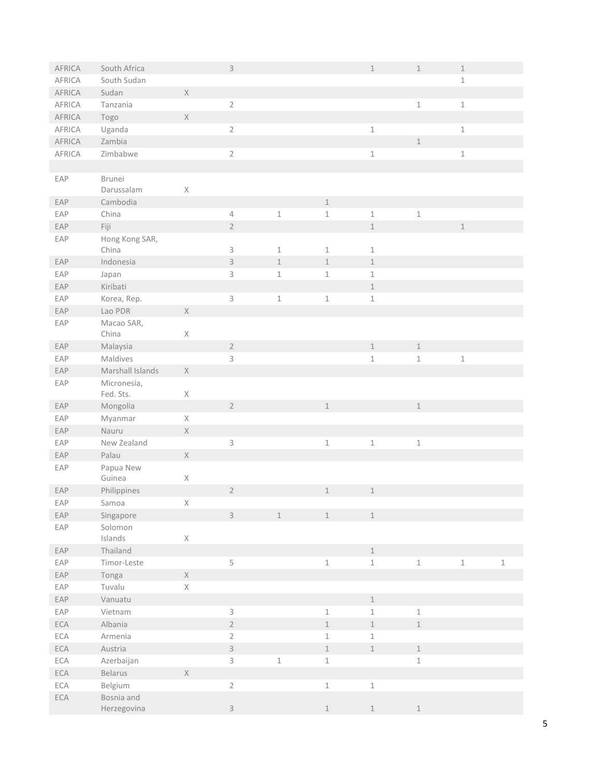| AFRICA | South Africa         |                                                                       | $\mathsf 3$               |              |               | $\mathbbm{1}$ | $\mathbbm{1}$ | $\,1$   |         |
|--------|----------------------|-----------------------------------------------------------------------|---------------------------|--------------|---------------|---------------|---------------|---------|---------|
| AFRICA | South Sudan          |                                                                       |                           |              |               |               |               | $1\,$   |         |
| AFRICA | Sudan                | $\mathsf X$                                                           |                           |              |               |               |               |         |         |
| AFRICA | Tanzania             |                                                                       | $\sqrt{2}$                |              |               |               | $\,1\,$       | $\,1$   |         |
| AFRICA | Togo                 | $\mathsf X$                                                           |                           |              |               |               |               |         |         |
| AFRICA | Uganda               |                                                                       | $\sqrt{2}$                |              |               | $\,1\,$       |               | $\,1$   |         |
| AFRICA | Zambia               |                                                                       |                           |              |               |               | $\,1\,$       |         |         |
| AFRICA | Zimbabwe             |                                                                       | $\overline{2}$            |              |               | $\,1\,$       |               | $\,1\,$ |         |
|        |                      |                                                                       |                           |              |               |               |               |         |         |
| EAP    | Brunei<br>Darussalam | $\mathsf X$                                                           |                           |              |               |               |               |         |         |
| EAP    | Cambodia             |                                                                       |                           |              | $\mathbf 1$   |               |               |         |         |
| EAP    | China                |                                                                       | $\overline{4}$            | $\,1\,$      | $\,1\,$       | $\mathbbm{1}$ | $\,1\,$       |         |         |
| EAP    | Fiji                 |                                                                       | $\sqrt{2}$                |              |               | $\,1$         |               | $\,1$   |         |
| EAP    | Hong Kong SAR,       |                                                                       |                           |              |               |               |               |         |         |
|        | China                |                                                                       | $\mathsf 3$               | $\mathbf{1}$ | $\mathbf{1}$  | $\mathbbm{1}$ |               |         |         |
| EAP    | Indonesia            |                                                                       | $\mathsf 3$               | $\,1$        | $\perp$       | $\,1$         |               |         |         |
| EAP    | Japan                |                                                                       | 3                         | $\,1\,$      | $\mathbf{1}$  | $\,1\,$       |               |         |         |
| EAP    | Kiribati             |                                                                       |                           |              |               | $\mathbf 1$   |               |         |         |
| EAP    | Korea, Rep.          |                                                                       | $\mathsf 3$               | $\,1\,$      | $\,1\,$       | $\,1\,$       |               |         |         |
| EAP    | Lao PDR              | $\mathsf X$                                                           |                           |              |               |               |               |         |         |
| EAP    | Macao SAR,<br>China  | $\mathsf X$                                                           |                           |              |               |               |               |         |         |
| EAP    | Malaysia             |                                                                       | $\overline{2}$            |              |               | $\,1$         | $\,1\,$       |         |         |
| EAP    | Maldives             |                                                                       | $\mathsf 3$               |              |               | $\,1\,$       | $\,1\,$       | $\,1\,$ |         |
| EAP    | Marshall Islands     | $\mathsf X$                                                           |                           |              |               |               |               |         |         |
| EAP    | Micronesia,          |                                                                       |                           |              |               |               |               |         |         |
|        | Fed. Sts.            | $\mathsf X$                                                           |                           |              |               |               |               |         |         |
| EAP    | Mongolia             |                                                                       | $\overline{2}$            |              | $\mathbf 1$   |               | $\,1\,$       |         |         |
| EAP    | Myanmar              | $\mathsf{X}% _{\mathsf{X}}^{\prime}=\mathsf{X}_{\mathsf{X}}^{\prime}$ |                           |              |               |               |               |         |         |
| EAP    | Nauru                | $\mathsf X$                                                           |                           |              |               |               |               |         |         |
| EAP    | New Zealand          |                                                                       | $\ensuremath{\mathsf{3}}$ |              | $\,1\,$       | $\,1$         | $\,1\,$       |         |         |
| EAP    | Palau                | $\mathsf X$                                                           |                           |              |               |               |               |         |         |
| EAP    | Papua New<br>Guinea  | $\mathsf X$                                                           |                           |              |               |               |               |         |         |
| EAP    | Philippines          |                                                                       | $\overline{2}$            |              | $\mathbf 1$   | $\mathbf 1$   |               |         |         |
| EAP    | Samoa                | $\mathsf X$                                                           |                           |              |               |               |               |         |         |
| EAP    | Singapore            |                                                                       | $\mathsf 3$               | $\,1$        | $\mathbf 1$   | $\mathbf 1$   |               |         |         |
| EAP    | Solomon<br>Islands   | $\mathsf X$                                                           |                           |              |               |               |               |         |         |
| EAP    | Thailand             |                                                                       |                           |              |               | $\mathbf 1$   |               |         |         |
| EAP    | Timor-Leste          |                                                                       | 5                         |              | $\mathbbm{1}$ | $\mathbf 1$   | $\,1\,$       | $\,1$   | $\,1\,$ |
| EAP    | Tonga                | $\mathsf X$                                                           |                           |              |               |               |               |         |         |
| EAP    | Tuvalu               | $\mathsf X$                                                           |                           |              |               |               |               |         |         |
| EAP    | Vanuatu              |                                                                       |                           |              |               | $\mathbf 1$   |               |         |         |
| EAP    | Vietnam              |                                                                       | $\mathsf 3$               |              | $\,1\,$       | $\,1\,$       | $\,1\,$       |         |         |
| ECA    | Albania              |                                                                       | $\overline{2}$            |              | $\mathbf 1$   | $\,1$         | $\mathbbm{1}$ |         |         |
| ECA    | Armenia              |                                                                       | $\overline{2}$            |              | $\,1\,$       | $\,1\,$       |               |         |         |
| ECA    | Austria              |                                                                       | $\overline{3}$            |              | $\,1\,$       | $\mathbbm{1}$ | $\,1\,$       |         |         |
| ECA    | Azerbaijan           |                                                                       | $\mathsf 3$               | $\,1\,$      | $\,1\,$       |               | $\,1\,$       |         |         |
| ECA    | Belarus              | $\mathsf X$                                                           |                           |              |               |               |               |         |         |
| ECA    | Belgium              |                                                                       | $\sqrt{2}$                |              | $\mathbbm{1}$ | $\,1\,$       |               |         |         |
| ECA    | Bosnia and           |                                                                       |                           |              |               |               |               |         |         |
|        | Herzegovina          |                                                                       | $\mathsf{3}$              |              | $\perp$       | $1\,$         | $\,1\,$       |         |         |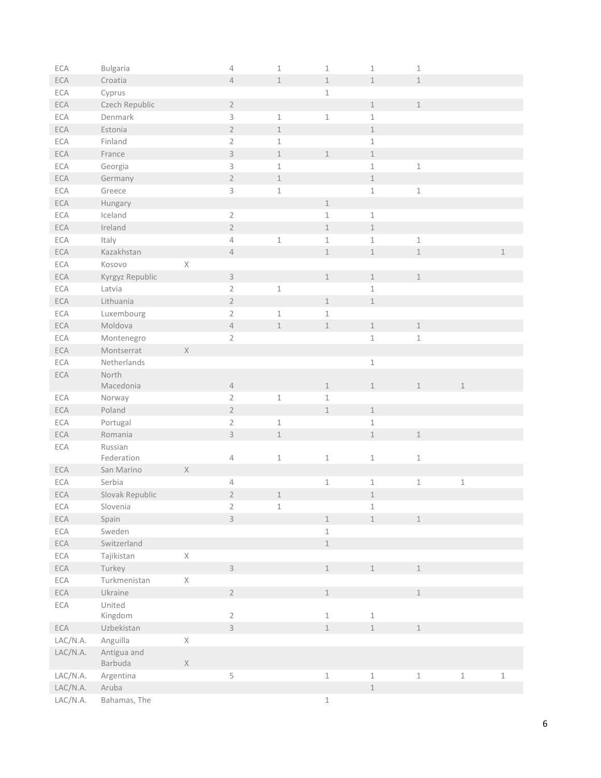| ECA            | Bulgaria        |             | $\sqrt{4}$                | $\mathbbm{1}$ | $\,1\,$       | $\,1\,$       | $\,1\,$                    |         |                            |
|----------------|-----------------|-------------|---------------------------|---------------|---------------|---------------|----------------------------|---------|----------------------------|
| ECA            | Croatia         |             | $\sqrt{4}$                | $\,1\,$       | $\mathbbm{1}$ | $\,1$         | $\,1\,$                    |         |                            |
| ECA            | Cyprus          |             |                           |               | $\,1\,$       |               |                            |         |                            |
| ECA            | Czech Republic  |             | $\sqrt{2}$                |               |               | $\mathbf 1$   | $\,1\,$                    |         |                            |
| ECA            | Denmark         |             | $\mathsf 3$               | $\,1$         | $\,1\,$       | $\mathbf 1$   |                            |         |                            |
| ECA            | Estonia         |             | $\sqrt{2}$                | $\mathbbm{1}$ |               | $\mathbf 1$   |                            |         |                            |
| ECA            | Finland         |             | $\overline{2}$            | $\mathbf 1$   |               | $\,1\,$       |                            |         |                            |
| ECA            | France          |             | $\mathsf 3$               | $\mathbbm{1}$ | $\mathbf 1$   | $\mathbf 1$   |                            |         |                            |
| ECA            | Georgia         |             | $\ensuremath{\mathsf{3}}$ | $\mathbbm{1}$ |               | $\,1\,$       | $\,1\,$                    |         |                            |
| ECA            | Germany         |             | $\sqrt{2}$                | $\mathbbm{1}$ |               | $\,1$         |                            |         |                            |
| ECA            | Greece          |             | $\mathsf 3$               | $\mathbbm{1}$ |               | $\,1\,$       | $\ensuremath{\mathbbm{1}}$ |         |                            |
| ECA            | Hungary         |             |                           |               | $1\,$         |               |                            |         |                            |
| ECA            | Iceland         |             | $2\,$                     |               | $\,1\,$       | $\,1$         |                            |         |                            |
| ECA            | Ireland         |             | $\overline{2}$            |               | $1\,$         | $\mathbbm{1}$ |                            |         |                            |
| ECA            | Italy           |             | $\sqrt{4}$                | $\mathbbm{1}$ | $\,1\,$       | $\mathbbm{1}$ | $\,1\,$                    |         |                            |
| ECA            | Kazakhstan      |             | $\sqrt{4}$                |               | $\,1$         | $\,1$         | $\,1\,$                    |         | $\perp$                    |
| ECA            | Kosovo          | $\mathsf X$ |                           |               |               |               |                            |         |                            |
| ECA            | Kyrgyz Republic |             | $\mathsf 3$               |               | $\mathbf 1$   | $\mathbf 1$   | $\,1\,$                    |         |                            |
| ECA            | Latvia          |             | $\sqrt{2}$                | $\mathbbm{1}$ |               | $1\,$         |                            |         |                            |
| ECA            | Lithuania       |             | $\overline{2}$            |               | $\mathbf 1$   | $\perp$       |                            |         |                            |
| ECA            | Luxembourg      |             | $2\,$                     | $\mathbf 1$   | $\,1\,$       |               |                            |         |                            |
| ECA            | Moldova         |             | $\sqrt{4}$                | $\mathbbm{1}$ | $\mathbf 1$   | $\,1$         | $\,1\,$                    |         |                            |
| ECA            | Montenegro      |             | $\sqrt{2}$                |               |               | $\,1\,$       | $\,1\,$                    |         |                            |
| ECA            | Montserrat      | $\mathsf X$ |                           |               |               |               |                            |         |                            |
| ECA            | Netherlands     |             |                           |               |               | $\,1$         |                            |         |                            |
| ECA            | North           |             |                           |               |               |               |                            |         |                            |
|                | Macedonia       |             | $\sqrt{4}$                |               | $\,1\,$       | $\,1$         | $\,1\,$                    | $\,1\,$ |                            |
| ECA            | Norway          |             | $\sqrt{2}$                | $\mathbbm{1}$ | $\,1\,$       |               |                            |         |                            |
| ECA            | Poland          |             | $\sqrt{2}$                |               | $1\,$         | $1\,$         |                            |         |                            |
| ECA            | Portugal        |             | $\sqrt{2}$                | $\mathbbm{1}$ |               | $\,1\,$       |                            |         |                            |
| ECA            | Romania         |             | $\overline{3}$            | $\mathbbm{1}$ |               | $\,1$         | $\,1\,$                    |         |                            |
| ECA            | Russian         |             |                           |               |               |               |                            |         |                            |
|                | Federation      |             | $\sqrt{4}$                | $\mathbbm{1}$ | $\,1\,$       | $\,1\,$       | $\,1\,$                    |         |                            |
| ECA            | San Marino      | X           |                           |               |               |               |                            |         |                            |
| ECA            | Serbia          |             | $\sqrt{4}$                |               | $\,1\,$       | $\,1$         | $\,1\,$                    | $\,1\,$ |                            |
| ECA            | Slovak Republic |             | $\sqrt{2}$                | $\mathbbm{1}$ |               | $\,1$         |                            |         |                            |
| ECA            | Slovenia        |             | 2                         | 1             |               | 1             |                            |         |                            |
| ECA            | Spain           |             | $\mathsf 3$               |               | $\mathbf 1$   | $\mathbf 1$   | $\,1\,$                    |         |                            |
| ECA            | Sweden          |             |                           |               | $\,1\,$       |               |                            |         |                            |
| $\mathsf{ECA}$ | Switzerland     |             |                           |               | $\perp$       |               |                            |         |                            |
| ECA            | Tajikistan      | $\mathsf X$ |                           |               |               |               |                            |         |                            |
| ECA            | Turkey          |             | $\mathsf{3}$              |               | $\mathbbm{1}$ | $\mathbf 1$   | $\,1$                      |         |                            |
| ECA            | Turkmenistan    | $\mathsf X$ |                           |               |               |               |                            |         |                            |
| ECA            | Ukraine         |             | $\overline{2}$            |               | $\mathbbm{1}$ |               | $\,1\,$                    |         |                            |
| ECA            | United          |             |                           |               |               |               |                            |         |                            |
|                | Kingdom         |             | $\overline{2}$            |               | $\,1\,$       | $\,1\,$       |                            |         |                            |
| ECA            | Uzbekistan      |             | $\overline{3}$            |               | $\mathbbm{1}$ | $\mathbbm{1}$ | $\,1\,$                    |         |                            |
| LAC/N.A.       | Anguilla        | $\mathsf X$ |                           |               |               |               |                            |         |                            |
| LAC/N.A.       | Antigua and     |             |                           |               |               |               |                            |         |                            |
|                | Barbuda         | $\mathsf X$ |                           |               |               |               |                            |         |                            |
| LAC/N.A.       | Argentina       |             | 5                         |               | $\,1\,$       | $\,1$         | $\,1\,$                    | $\,1\,$ | $\ensuremath{\mathbbm{1}}$ |
| LAC/N.A.       | Aruba           |             |                           |               |               | $1\,$         |                            |         |                            |
| LAC/N.A.       | Bahamas, The    |             |                           |               | $\mathbf 1$   |               |                            |         |                            |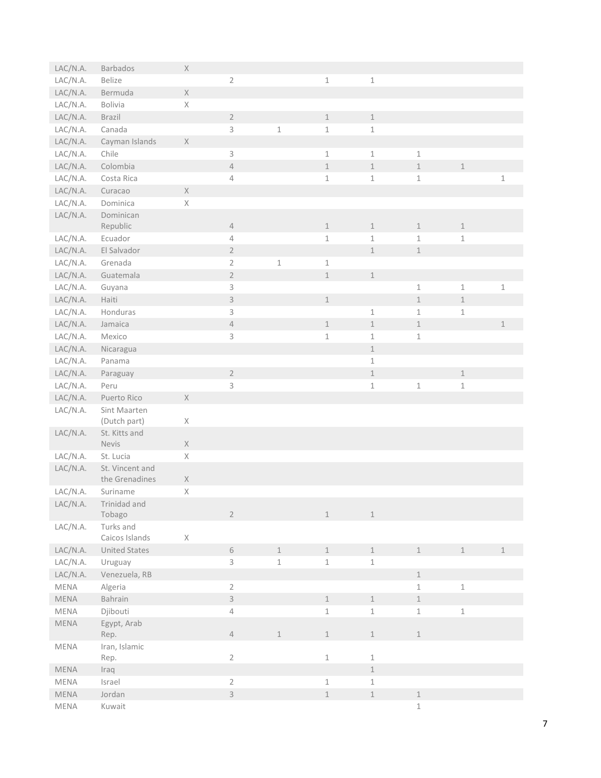| LAC/N.A. | Barbados              | $\mathsf X$                                                           |                |             |               |                            |               |               |             |
|----------|-----------------------|-----------------------------------------------------------------------|----------------|-------------|---------------|----------------------------|---------------|---------------|-------------|
| LAC/N.A. | Belize                |                                                                       | $\sqrt{2}$     |             | $\mathbbm{1}$ | $\mathbbm{1}$              |               |               |             |
| LAC/N.A. | Bermuda               | $\mathsf X$                                                           |                |             |               |                            |               |               |             |
| LAC/N.A. | <b>Bolivia</b>        | $\mathsf X$                                                           |                |             |               |                            |               |               |             |
| LAC/N.A. | Brazil                |                                                                       | $\overline{2}$ |             | $\mathbf 1$   | $\mathbbm{1}$              |               |               |             |
| LAC/N.A. | Canada                |                                                                       | 3              | $\,1\,$     | $\mathbf 1$   | $\mathbf 1$                |               |               |             |
|          |                       | $\times$                                                              |                |             |               |                            |               |               |             |
| LAC/N.A. | Cayman Islands        |                                                                       |                |             |               |                            |               |               |             |
| LAC/N.A. | Chile                 |                                                                       | 3              |             | $\mathbbm{1}$ | $\mathbbm{1}$              | $\mathbf 1$   |               |             |
| LAC/N.A. | Colombia              |                                                                       | $\sqrt{4}$     |             | $\mathbbm{1}$ | $\mathbbm{1}$              | $\,1\,$       | $\,1\,$       |             |
| LAC/N.A. | Costa Rica            |                                                                       | 4              |             | $\mathbf 1$   | $\mathbbm{1}$              | $\mathbf 1$   |               | $1\,$       |
| LAC/N.A. | Curacao               | $\mathsf X$                                                           |                |             |               |                            |               |               |             |
| LAC/N.A. | Dominica              | $\mathsf{X}% _{\mathsf{X}}^{\prime}=\mathsf{X}_{\mathsf{X}}^{\prime}$ |                |             |               |                            |               |               |             |
| LAC/N.A. | Dominican             |                                                                       |                |             |               |                            |               |               |             |
|          | Republic              |                                                                       | $\overline{4}$ |             | $\mathbf 1$   | $\mathbf{1}$               | $\,1\,$       | $\mathbbm{1}$ |             |
| LAC/N.A. | Ecuador               |                                                                       | $\overline{4}$ |             | $\mathbf 1$   | $\mathbf 1$                | $\mathbf 1$   | $\mathbf 1$   |             |
| LAC/N.A. | El Salvador           |                                                                       | $\overline{2}$ |             |               | $\mathbf 1$                | $\,1$         |               |             |
| LAC/N.A. | Grenada               |                                                                       | $\overline{2}$ | $\mathbf 1$ | $\mathbf{1}$  |                            |               |               |             |
| LAC/N.A. | Guatemala             |                                                                       | $\overline{2}$ |             | $1\,$         | $\perp$                    |               |               |             |
| LAC/N.A. | Guyana                |                                                                       | 3              |             |               |                            | $\,1\,$       | $\mathbf 1$   | $1\,$       |
| LAC/N.A. | Haiti                 |                                                                       | $\mathsf 3$    |             | $\perp$       |                            | $\mathbbm{1}$ | $1\,$         |             |
| LAC/N.A. | Honduras              |                                                                       | 3              |             |               | $\,1\,$                    | $\mathbf 1$   | $\mathbbm{1}$ |             |
| LAC/N.A. | Jamaica               |                                                                       | $\overline{4}$ |             | $\mathbf{1}$  | $\mathbbm{1}$              | $\,1\,$       |               | $1\,$       |
| LAC/N.A. | Mexico                |                                                                       | 3              |             | $1\,$         | $\mathbf 1$                | $\,1\,$       |               |             |
| LAC/N.A. | Nicaragua             |                                                                       |                |             |               | $\mathbbm{1}$              |               |               |             |
| LAC/N.A. | Panama                |                                                                       |                |             |               | $\mathbf{1}$               |               |               |             |
| LAC/N.A. | Paraguay              |                                                                       | $2\,$          |             |               | $\mathbf 1$                |               | $\mathbbm{1}$ |             |
| LAC/N.A. | Peru                  |                                                                       | 3              |             |               | $\mathbbm{1}$              | $\,1\,$       | $\mathbf{1}$  |             |
| LAC/N.A. | Puerto Rico           | $\mathsf X$                                                           |                |             |               |                            |               |               |             |
| LAC/N.A. | Sint Maarten          |                                                                       |                |             |               |                            |               |               |             |
|          | (Dutch part)          | Χ                                                                     |                |             |               |                            |               |               |             |
| LAC/N.A. | St. Kitts and         |                                                                       |                |             |               |                            |               |               |             |
|          | Nevis                 | $\mathsf X$                                                           |                |             |               |                            |               |               |             |
| LAC/N.A. | St. Lucia             | $\mathsf X$                                                           |                |             |               |                            |               |               |             |
| LAC/N.A. | St. Vincent and       |                                                                       |                |             |               |                            |               |               |             |
|          | the Grenadines        | $\mathsf{X}% _{\mathsf{X}}^{\prime}=\mathsf{X}_{\mathsf{X}}^{\prime}$ |                |             |               |                            |               |               |             |
| LAC/N.A. | Suriname              | $\mathsf X$                                                           |                |             |               |                            |               |               |             |
| LAC/N.A. | Trinidad and          |                                                                       |                |             |               |                            |               |               |             |
|          | Tobago                |                                                                       | $\overline{2}$ |             | $\mathbf 1$   | $\perp$                    |               |               |             |
| LAC/N.A. | Turks and             |                                                                       |                |             |               |                            |               |               |             |
|          | Caicos Islands        | $\mathsf{X}% _{\mathsf{X}}^{\prime}=\mathsf{X}_{\mathsf{X}}^{\prime}$ |                |             |               |                            |               |               |             |
| LAC/N.A. | <b>United States</b>  |                                                                       | $\,$ $\,$ $\,$ | $\mathbf 1$ | $\mathbf 1$   | $\mathbf 1$                | $\mathbf 1$   | $\mathbf 1$   | $\mathbf 1$ |
| LAC/N.A. | Uruguay               |                                                                       | $\mathsf{3}$   | $1\,$       | $\mathbf 1$   | $\mathbf 1$                |               |               |             |
| LAC/N.A. | Venezuela, RB         |                                                                       |                |             |               |                            | $\mathbbm{1}$ |               |             |
| MENA     | Algeria               |                                                                       | $\overline{2}$ |             |               |                            | $\,1\,$       | $\,1$         |             |
| MENA     | Bahrain               |                                                                       | $\overline{3}$ |             | $\mathbf 1$   | $\perp$                    | $\,1$         |               |             |
| MENA     | Djibouti              |                                                                       | $\sqrt{4}$     |             | $\mathbf{1}$  | $\,1$                      | $\,1\,$       | $\mathbf 1$   |             |
| MENA     | Egypt, Arab<br>Rep.   |                                                                       | $\overline{4}$ | $\,1\,$     | $\mathbf 1$   | $1\,$                      | $\mathbbm{1}$ |               |             |
| MENA     | Iran, Islamic<br>Rep. |                                                                       | $\sqrt{2}$     |             | $\mathbbm{1}$ | $\,1$                      |               |               |             |
| MENA     | Iraq                  |                                                                       |                |             |               | $\mathbf 1$                |               |               |             |
| MENA     | Israel                |                                                                       | $\overline{2}$ |             | $\mathbf 1$   | $\mathbf 1$                |               |               |             |
| MENA     | Jordan                |                                                                       | $\overline{3}$ |             | $\perp$       | $\ensuremath{\mathbbm{1}}$ | $\,1$         |               |             |
| MENA     | Kuwait                |                                                                       |                |             |               |                            | $\,1$         |               |             |